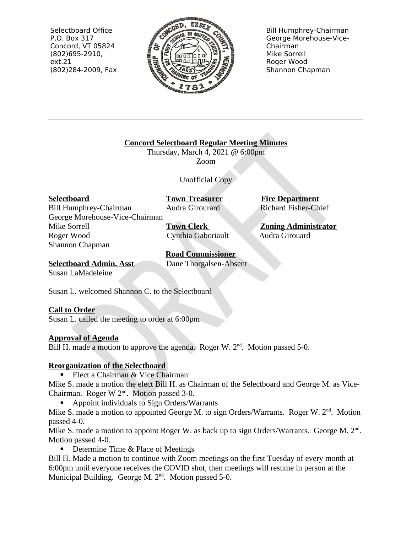Selectboard Office P.O. Box 317 Concord, VT 05824  $(802)695-2910,$  $ext.21$ (802)284-2009, Fax



**Bill Humphrey-Chairman** George Morehouse-Vice-Chairman Mike Sorrell Roger Wood Shannon Chapman

**Concord Selectboard Regular Meeting Minutes** 

Thursday, March 4, 2021 @ 6:00pm Zoom

Unofficial Copy

**Selectboard** 

**Town Treasurer** Audra Girourard

**Bill Humphrey-Chairman** George Morehouse-Vice-Chairman Mike Sorrell Roger Wood Shannon Chapman

**Town Clerk** Cynthia Gaboriault

**Road Commissioner** Dane Thorgalsen-Absent **Fire Department** Richard Fisher-Chief

**Zoning Administrator** Audra Girouard

**Selectboard Admin. Asst.** Susan LaMadeleine

Susan L. welcomed Shannon C. to the Selectboard

# **Call to Order**

Susan L. called the meeting to order at 6:00pm

# **Approval of Agenda**

Bill H. made a motion to approve the agenda. Roger W. 2<sup>nd</sup>. Motion passed 5-0.

# **Reorganization of the Selectboard**

Elect a Chairman & Vice Chairman

Mike S. made a motion the elect Bill H. as Chairman of the Selectboard and George M. as Vice-Chairman. Roger W 2<sup>nd</sup>. Motion passed 3-0.

Appoint individuals to Sign Orders/Warrants

Mike S. made a motion to appointed George M. to sign Orders/Warrants. Roger W. 2<sup>nd</sup>. Motion passed 4-0.

Mike S. made a motion to appoint Roger W. as back up to sign Orders/Warrants. George M. 2<sup>nd</sup>. Motion passed 4-0.

• Determine Time & Place of Meetings

Bill H. Made a motion to continue with Zoom meetings on the first Tuesday of every month at 6:00pm until everyone receives the COVID shot, then meetings will resume in person at the Municipal Building. George M. 2<sup>nd</sup>. Motion passed 5-0.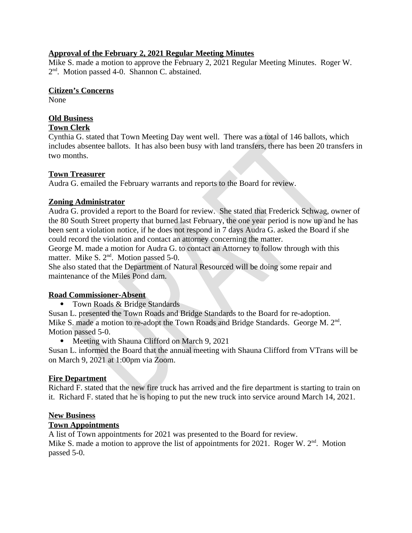#### **Approval of the February 2, 2021 Regular Meeting Minutes**

Mike S. made a motion to approve the February 2, 2021 Regular Meeting Minutes. Roger W. 2<sup>nd</sup>. Motion passed 4-0. Shannon C. abstained.

#### **Citizen's Concerns**

**None** 

# **Old Business**

## **Town Clerk**

Cynthia G. stated that Town Meeting Day went well. There was a total of 146 ballots, which includes absentee ballots. It has also been busy with land transfers, there has been 20 transfers in two months.

### **Town Treasurer**

Audra G. emailed the February warrants and reports to the Board for review.

### **Zoning Administrator**

Audra G. provided a report to the Board for review. She stated that Frederick Schwag, owner of the 80 South Street property that burned last February, the one year period is now up and he has been sent a violation notice, if he does not respond in 7 days Audra G. asked the Board if she could record the violation and contact an attorney concerning the matter.

George M, made a motion for Audra G, to contact an Attorney to follow through with this matter. Mike S. 2<sup>nd</sup>. Motion passed 5-0.

She also stated that the Department of Natural Resourced will be doing some repair and maintenance of the Miles Pond dam.

### **Road Commissioner-Absent**

• Town Roads & Bridge Standards

Susan L. presented the Town Roads and Bridge Standards to the Board for re-adoption. Mike S. made a motion to re-adopt the Town Roads and Bridge Standards. George M. 2<sup>nd</sup>. Motion passed 5-0.

• Meeting with Shauna Clifford on March 9, 2021

Susan L. informed the Board that the annual meeting with Shauna Clifford from VTrans will be on March 9, 2021 at 1:00pm via Zoom.

### **Fire Department**

Richard F. stated that the new fire truck has arrived and the fire department is starting to train on it. Richard F. stated that he is hoping to put the new truck into service around March 14, 2021.

### **New Business**

### **Town Appointments**

A list of Town appointments for 2021 was presented to the Board for review. Mike S. made a motion to approve the list of appointments for 2021. Roger W.  $2<sup>nd</sup>$ . Motion passed 5-0.